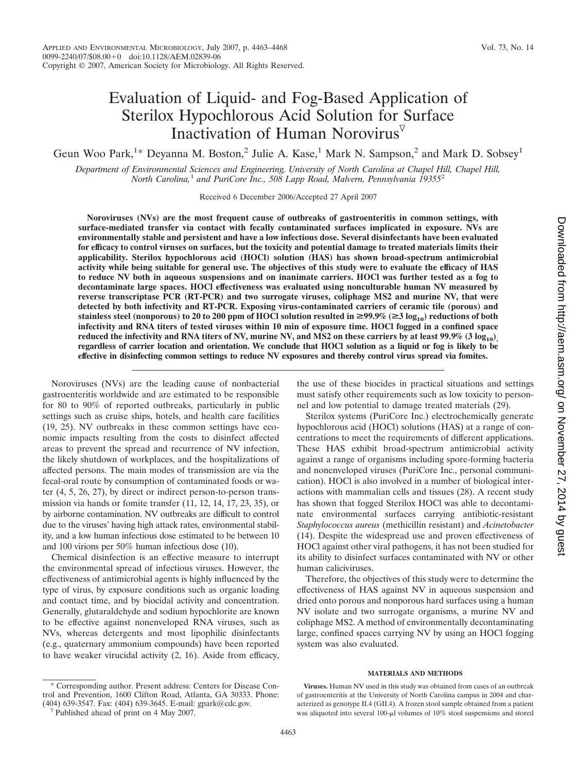# Evaluation of Liquid- and Fog-Based Application of Sterilox Hypochlorous Acid Solution for Surface Inactivation of Human Norovirus

Geun Woo Park,<sup>1</sup>\* Deyanna M. Boston,<sup>2</sup> Julie A. Kase,<sup>1</sup> Mark N. Sampson,<sup>2</sup> and Mark D. Sobsey<sup>1</sup>

*Department of Environmental Sciences and Engineering, University of North Carolina at Chapel Hill, Chapel Hill, North Carolina,*<sup>1</sup> *and PuriCore Inc., 508 Lapp Road, Malvern, Pennsylvania 19355*<sup>2</sup>

Received 6 December 2006/Accepted 27 April 2007

**Noroviruses (NVs) are the most frequent cause of outbreaks of gastroenteritis in common settings, with surface-mediated transfer via contact with fecally contaminated surfaces implicated in exposure. NVs are environmentally stable and persistent and have a low infectious dose. Several disinfectants have been evaluated for efficacy to control viruses on surfaces, but the toxicity and potential damage to treated materials limits their applicability. Sterilox hypochlorous acid (HOCl) solution (HAS) has shown broad-spectrum antimicrobial activity while being suitable for general use. The objectives of this study were to evaluate the efficacy of HAS to reduce NV both in aqueous suspensions and on inanimate carriers. HOCl was further tested as a fog to decontaminate large spaces. HOCl effectiveness was evaluated using nonculturable human NV measured by reverse transcriptase PCR (RT-PCR) and two surrogate viruses, coliphage MS2 and murine NV, that were detected by both infectivity and RT-PCR. Exposing virus-contaminated carriers of ceramic tile (porous) and** stainless steel (nonporous) to 20 to 200 ppm of HOCl solution resulted in  $\geq$ 99.9% ( $\geq$ 3 log<sub>10</sub>) reductions of both **infectivity and RNA titers of tested viruses within 10 min of exposure time. HOCl fogged in a confined space** reduced the infectivity and RNA titers of NV, murine NV, and MS2 on these carriers by at least  $99.9\%$  (3 log<sub>10</sub>) **regardless of carrier location and orientation. We conclude that HOCl solution as a liquid or fog is likely to be effective in disinfecting common settings to reduce NV exposures and thereby control virus spread via fomites.**

Noroviruses (NVs) are the leading cause of nonbacterial gastroenteritis worldwide and are estimated to be responsible for 80 to 90% of reported outbreaks, particularly in public settings such as cruise ships, hotels, and health care facilities (19, 25). NV outbreaks in these common settings have economic impacts resulting from the costs to disinfect affected areas to prevent the spread and recurrence of NV infection, the likely shutdown of workplaces, and the hospitalizations of affected persons. The main modes of transmission are via the fecal-oral route by consumption of contaminated foods or water (4, 5, 26, 27), by direct or indirect person-to-person transmission via hands or fomite transfer (11, 12, 14, 17, 23, 35), or by airborne contamination. NV outbreaks are difficult to control due to the viruses' having high attack rates, environmental stability, and a low human infectious dose estimated to be between 10 and 100 virions per 50% human infectious dose (10).

Chemical disinfection is an effective measure to interrupt the environmental spread of infectious viruses. However, the effectiveness of antimicrobial agents is highly influenced by the type of virus, by exposure conditions such as organic loading and contact time, and by biocidal activity and concentration. Generally, glutaraldehyde and sodium hypochlorite are known to be effective against nonenveloped RNA viruses, such as NVs, whereas detergents and most lipophilic disinfectants (e.g., quaternary ammonium compounds) have been reported to have weaker virucidal activity (2, 16). Aside from efficacy,

Corresponding author. Present address: Centers for Disease Control and Prevention, 1600 Clifton Road, Atlanta, GA 30333. Phone: (404) 639-3547. Fax: (404) 639-3645. E-mail: gpark@cdc.gov. Published ahead of print on 4 May 2007.

the use of these biocides in practical situations and settings must satisfy other requirements such as low toxicity to personnel and low potential to damage treated materials (29).

Sterilox systems (PuriCore Inc.) electrochemically generate hypochlorous acid (HOCl) solutions (HAS) at a range of concentrations to meet the requirements of different applications. These HAS exhibit broad-spectrum antimicrobial activity against a range of organisms including spore-forming bacteria and nonenveloped viruses (PuriCore Inc., personal communication). HOCl is also involved in a number of biological interactions with mammalian cells and tissues (28). A recent study has shown that fogged Sterilox HOCl was able to decontaminate environmental surfaces carrying antibiotic-resistant *Staphylococcus aureus* (methicillin resistant) and *Acinetobacter* (14). Despite the widespread use and proven effectiveness of HOCl against other viral pathogens, it has not been studied for its ability to disinfect surfaces contaminated with NV or other human caliciviruses.

Therefore, the objectives of this study were to determine the effectiveness of HAS against NV in aqueous suspension and dried onto porous and nonporous hard surfaces using a human NV isolate and two surrogate organisms, a murine NV and coliphage MS2. A method of environmentally decontaminating large, confined spaces carrying NV by using an HOCl fogging system was also evaluated.

# **MATERIALS AND METHODS**

**Viruses.** Human NV used in this study was obtained from cases of an outbreak of gastroenteritis at the University of North Carolina campus in 2004 and characterized as genotype II.4 (GII.4). A frozen stool sample obtained from a patient was aliquoted into several 100- $\mu$ l volumes of 10% stool suspensions and stored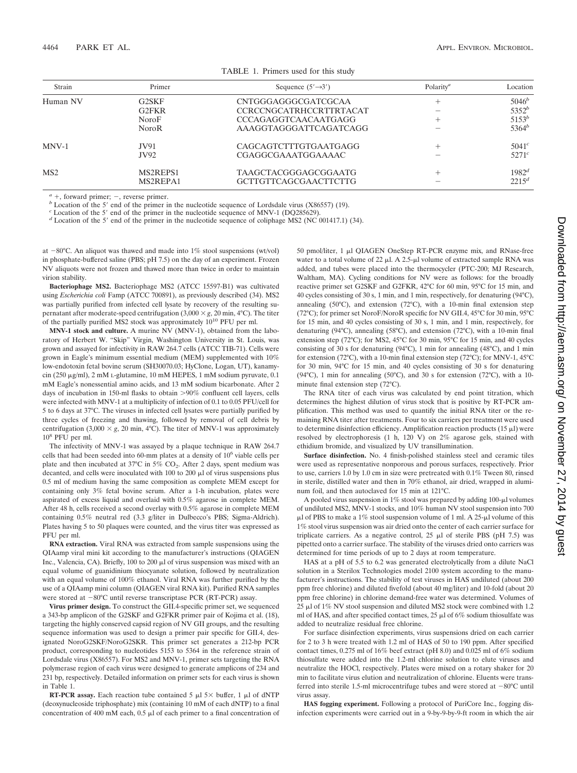| Strain          | Primer                            | Sequence $(5' \rightarrow 3')$ | Polarity <sup>a</sup> | Location          |  |
|-----------------|-----------------------------------|--------------------------------|-----------------------|-------------------|--|
| Human NV        | G2SKF                             | CNTGGGAGGGCGATCGCAA            | $^+$                  | $5046^b$          |  |
|                 | G <sub>2</sub> FKR                | <b>CCRCCNGCATRHCCRTTRTACAT</b> |                       | $5352^b$          |  |
|                 | <b>NoroF</b>                      | <b>CCCAGAGGTCAACAATGAGG</b>    | $^+$                  | $5153^b$          |  |
|                 | <b>NoroR</b>                      | AAAGGTAGGGATTCAGATCAGG         |                       | $5364^b$          |  |
| $MV-1$          | JV91                              | CAGCAGTCTTTGTGAATGAGG          | $^{+}$                | 5041 <sup>c</sup> |  |
|                 | JV92                              | CGAGGCGAAATGGAAAAC             |                       | 5271 <sup>c</sup> |  |
| MS <sub>2</sub> | MS <sub>2</sub> REPS <sub>1</sub> | <b>TAAGCTACGGGAGCGGAATG</b>    | $^+$                  | $1982^d$          |  |
|                 | MS <sub>2</sub> REPA <sub>1</sub> | GCTTGTTCAGCGAACTTCTTG          |                       | $2215^d$          |  |
|                 |                                   |                                |                       |                   |  |

TABLE 1. Primers used for this study

<sup>*a*</sup> +, forward primer; -, reverse primer.<br>
<sup>*b*</sup> Location of the 5' end of the primer in the nucleotide sequence of Lordsdale virus (X86557) (19).<br>
<sup>*c*</sup> Location of the 5' end of the primer in the nucleotide sequence o

at  $-80^{\circ}$ C. An aliquot was thawed and made into 1% stool suspensions (wt/vol) in phosphate-buffered saline (PBS; pH 7.5) on the day of an experiment. Frozen NV aliquots were not frozen and thawed more than twice in order to maintain virion stability.

**Bacteriophage MS2.** Bacteriophage MS2 (ATCC 15597-B1) was cultivated using *Escherichia coli* Famp (ATCC 700891), as previously described (34). MS2 was partially purified from infected cell lysate by recovery of the resulting supernatant after moderate-speed centrifugation  $(3,000 \times g, 20 \text{ min}, 4^{\circ}\text{C})$ . The titer of the partially purified MS2 stock was approximately 10<sup>10</sup> PFU per ml.

**MNV-1 stock and culture.** A murine NV (MNV-1), obtained from the laboratory of Herbert W. "Skip" Virgin, Washington University in St. Louis, was grown and assayed for infectivity in RAW 264.7 cells (ATCC TIB-71). Cells were grown in Eagle's minimum essential medium (MEM) supplemented with 10% low-endotoxin fetal bovine serum (SH30070.03; HyClone, Logan, UT), kanamycin (250 µg/ml), 2 mM L-glutamine, 10 mM HEPES, 1 mM sodium pyruvate, 0.1 mM Eagle's nonessential amino acids, and 13 mM sodium bicarbonate. After 2 days of incubation in 150-ml flasks to obtain >90% confluent cell layers, cells were infected with MNV-1 at a multiplicity of infection of 0.1 to 0.05 PFU/cell for 5 to 6 days at 37°C. The viruses in infected cell lysates were partially purified by three cycles of freezing and thawing, followed by removal of cell debris by centrifugation (3,000  $\times$  g, 20 min, 4°C). The titer of MNV-1 was approximately 10<sup>8</sup> PFU per ml.

The infectivity of MNV-1 was assayed by a plaque technique in RAW 264.7 cells that had been seeded into 60-mm plates at a density of 10<sup>6</sup> viable cells per plate and then incubated at  $37^{\circ}$ C in  $5\%$  CO<sub>2</sub>. After 2 days, spent medium was decanted, and cells were inoculated with  $100$  to  $200 \mu l$  of virus suspensions plus 0.5 ml of medium having the same composition as complete MEM except for containing only 3% fetal bovine serum. After a 1-h incubation, plates were aspirated of excess liquid and overlaid with 0.5% agarose in complete MEM. After 48 h, cells received a second overlay with 0.5% agarose in complete MEM containing 0.5% neutral red (3.3 g/liter in Dulbecco's PBS; Sigma-Aldrich). Plates having 5 to 50 plaques were counted, and the virus titer was expressed as PFU per ml.

**RNA extraction.** Viral RNA was extracted from sample suspensions using the QIAamp viral mini kit according to the manufacturer's instructions (QIAGEN Inc., Valencia, CA). Briefly,  $100$  to  $200 \mu l$  of virus suspension was mixed with an equal volume of guanidinium thiocyanate solution, followed by neutralization with an equal volume of 100% ethanol. Viral RNA was further purified by the use of a QIAamp mini column (QIAGEN viral RNA kit). Purified RNA samples were stored at  $-80^{\circ}$ C until reverse transcriptase PCR (RT-PCR) assay.

**Virus primer design.** To construct the GII.4-specific primer set, we sequenced a 343-bp amplicon of the G2SKF and G2FKR primer pair of Kojima et al. (18), targeting the highly conserved capsid region of NV GII groups, and the resulting sequence information was used to design a primer pair specific for GII.4, designated NoroG2SKF/NoroG2SKR. This primer set generates a 212-bp PCR product, corresponding to nucleotides 5153 to 5364 in the reference strain of Lordsdale virus (X86557). For MS2 and MNV-1, primer sets targeting the RNA polymerase region of each virus were designed to generate amplicons of 234 and 231 bp, respectively. Detailed information on primer sets for each virus is shown in Table 1.

**RT-PCR assay.** Each reaction tube contained  $5 \mu$   $5 \times$  buffer, 1  $\mu$  of dNTP (deoxynucleoside triphosphate) mix (containing 10 mM of each dNTP) to a final concentration of 400 mM each,  $0.5 \mu$  of each primer to a final concentration of

50 pmol/liter, 1 µl QIAGEN OneStep RT-PCR enzyme mix, and RNase-free water to a total volume of 22  $\mu$ l. A 2.5- $\mu$ l volume of extracted sample RNA was added, and tubes were placed into the thermocycler (PTC-200; MJ Research, Waltham, MA). Cycling conditions for NV were as follows: for the broadly reactive primer set G2SKF and G2FKR, 42°C for 60 min, 95°C for 15 min, and 40 cycles consisting of 30 s, 1 min, and 1 min, respectively, for denaturing (94°C), annealing (50°C), and extension (72°C), with a 10-min final extension step (72°C); for primer set NoroF/NoroR specific for NV GII.4, 45°C for 30 min, 95°C for 15 min, and 40 cycles consisting of 30 s, 1 min, and 1 min, respectively, for denaturing (94°C), annealing (58°C), and extension (72°C), with a 10-min final extension step (72°C); for MS2, 45°C for 30 min, 95°C for 15 min, and 40 cycles consisting of 30 s for denaturing (94°C), 1 min for annealing (48°C), and 1 min for extension (72°C), with a 10-min final extension step (72°C); for MNV-1, 45°C for 30 min, 94°C for 15 min, and 40 cycles consisting of 30 s for denaturing (94°C), 1 min for annealing (50°C), and 30 s for extension (72°C), with a 10 minute final extension step (72°C).

The RNA titer of each virus was calculated by end point titration, which determines the highest dilution of virus stock that is positive by RT-PCR amplification. This method was used to quantify the initial RNA titer or the remaining RNA titer after treatments. Four to six carriers per treatment were used to determine disinfection efficiency. Amplification reaction products  $(15 \mu I)$  were resolved by electrophoresis (1 h, 120 V) on 2% agarose gels, stained with ethidium bromide, and visualized by UV transillumination.

**Surface disinfection.** No. 4 finish-polished stainless steel and ceramic tiles were used as representative nonporous and porous surfaces, respectively. Prior to use, carriers 1.0 by 1.0 cm in size were pretreated with 0.1% Tween 80, rinsed in sterile, distilled water and then in 70% ethanol, air dried, wrapped in aluminum foil, and then autoclaved for 15 min at 121°C.

A pooled virus suspension in 1% stool was prepared by adding 100- $\mu$ l volumes of undiluted MS2, MNV-1 stocks, and 10% human NV stool suspension into 700  $\mu$ l of PBS to make a 1% stool suspension volume of 1 ml. A 25- $\mu$ l volume of this 1% stool virus suspension was air dried onto the center of each carrier surface for triplicate carriers. As a negative control,  $25 \mu l$  of sterile PBS (pH 7.5) was pipetted onto a carrier surface. The stability of the viruses dried onto carriers was determined for time periods of up to 2 days at room temperature.

HAS at a pH of 5.5 to 6.2 was generated electrolytically from a dilute NaCl solution in a Sterilox Technologies model 2100 system according to the manufacturer's instructions. The stability of test viruses in HAS undiluted (about 200 ppm free chlorine) and diluted fivefold (about 40 mg/liter) and 10-fold (about 20 ppm free chlorine) in chlorine demand-free water was determined. Volumes of  $25 \mu$ l of 1% NV stool suspension and diluted MS2 stock were combined with 1.2 ml of HAS, and after specified contact times,  $25 \mu$ l of 6% sodium thiosulfate was added to neutralize residual free chlorine.

For surface disinfection experiments, virus suspensions dried on each carrier for 2 to 3 h were treated with 1.2 ml of HAS of 50 to 190 ppm. After specified contact times, 0.275 ml of 16% beef extract (pH 8.0) and 0.025 ml of 6% sodium thiosulfate were added into the 1.2-ml chlorine solution to elute viruses and neutralize the HOCl, respectively. Plates were mixed on a rotary shaker for 20 min to facilitate virus elution and neutralization of chlorine. Eluents were transferred into sterile 1.5-ml microcentrifuge tubes and were stored at  $-80^{\circ}$ C until virus assay.

**HAS fogging experiment.** Following a protocol of PuriCore Inc., fogging disinfection experiments were carried out in a 9-by-9-by-9-ft room in which the air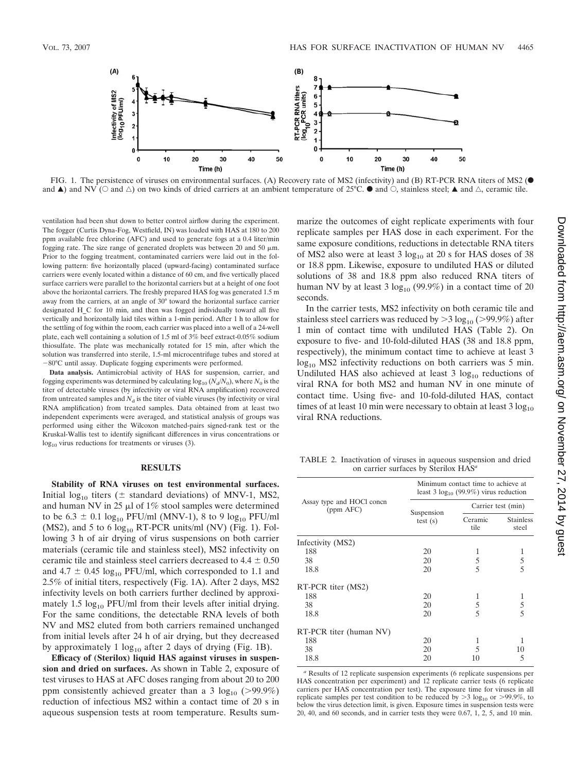

FIG. 1. The persistence of viruses on environmental surfaces. (A) Recovery rate of MS2 (infectivity) and (B) RT-PCR RNA titers of MS2 ( $\bullet$ and  $\blacktriangle$ ) and NV ( $\heartsuit$  and  $\triangle$ ) on two kinds of dried carriers at an ambient temperature of 25°C.  $\bullet$  and  $\heartsuit$ , stainless steel;  $\blacktriangle$  and  $\triangle$ , ceramic tile.

ventilation had been shut down to better control airflow during the experiment. The fogger (Curtis Dyna-Fog, Westfield, IN) was loaded with HAS at 180 to 200 ppm available free chlorine (AFC) and used to generate fogs at a 0.4 liter/min fogging rate. The size range of generated droplets was between 20 and 50  $\mu$ m. Prior to the fogging treatment, contaminated carriers were laid out in the following pattern: five horizontally placed (upward-facing) contaminated surface carriers were evenly located within a distance of 60 cm, and five vertically placed surface carriers were parallel to the horizontal carriers but at a height of one foot above the horizontal carriers. The freshly prepared HAS fog was generated 1.5 m away from the carriers, at an angle of 30° toward the horizontal surface carrier designated H\_C for 10 min, and then was fogged individually toward all five vertically and horizontally laid tiles within a 1-min period. After 1 h to allow for the settling of fog within the room, each carrier was placed into a well of a 24-well plate, each well containing a solution of 1.5 ml of 3% beef extract-0.05% sodium thiosulfate. The plate was mechanically rotated for 15 min, after which the solution was transferred into sterile, 1.5-ml microcentrifuge tubes and stored at 80°C until assay. Duplicate fogging experiments were performed.

**Data analysis.** Antimicrobial activity of HAS for suspension, carrier, and fogging experiments was determined by calculating  $log_{10} (N_d/N_0)$ , where  $N_0$  is the titer of detectable viruses (by infectivity or viral RNA amplification) recovered from untreated samples and  $N_d$  is the titer of viable viruses (by infectivity or viral RNA amplification) from treated samples. Data obtained from at least two independent experiments were averaged, and statistical analysis of groups was performed using either the Wilcoxon matched-pairs signed-rank test or the Kruskal-Wallis test to identify significant differences in virus concentrations or  $log<sub>10</sub>$  virus reductions for treatments or viruses (3).

## **RESULTS**

**Stability of RNA viruses on test environmental surfaces.** Initial log<sub>10</sub> titers ( $\pm$  standard deviations) of MNV-1, MS2, and human NV in 25  $\mu$ l of 1% stool samples were determined to be 6.3  $\pm$  0.1 log<sub>10</sub> PFU/ml (MNV-1), 8 to 9 log<sub>10</sub> PFU/ml (MS2), and 5 to 6  $log_{10}$  RT-PCR units/ml (NV) (Fig. 1). Following 3 h of air drying of virus suspensions on both carrier materials (ceramic tile and stainless steel), MS2 infectivity on ceramic tile and stainless steel carriers decreased to  $4.4 \pm 0.50$ and  $4.7 \pm 0.45 \log_{10}$  PFU/ml, which corresponded to 1.1 and 2.5% of initial titers, respectively (Fig. 1A). After 2 days, MS2 infectivity levels on both carriers further declined by approximately 1.5  $log_{10}$  PFU/ml from their levels after initial drying. For the same conditions, the detectable RNA levels of both NV and MS2 eluted from both carriers remained unchanged from initial levels after 24 h of air drying, but they decreased by approximately 1  $log_{10}$  after 2 days of drying (Fig. 1B).

**Efficacy of (Sterilox) liquid HAS against viruses in suspension and dried on surfaces.** As shown in Table 2, exposure of test viruses to HAS at AFC doses ranging from about 20 to 200 ppm consistently achieved greater than a 3  $log_{10}$  (>99.9%) reduction of infectious MS2 within a contact time of 20 s in aqueous suspension tests at room temperature. Results summarize the outcomes of eight replicate experiments with four replicate samples per HAS dose in each experiment. For the same exposure conditions, reductions in detectable RNA titers of MS2 also were at least  $3 \log_{10} at 20$  s for HAS doses of 38 or 18.8 ppm. Likewise, exposure to undiluted HAS or diluted solutions of 38 and 18.8 ppm also reduced RNA titers of human NV by at least  $3 \log_{10} (99.9\%)$  in a contact time of 20 seconds.

In the carrier tests, MS2 infectivity on both ceramic tile and stainless steel carriers was reduced by  $>$  3 log<sub>10</sub> ( $>$ 99.9%) after 1 min of contact time with undiluted HAS (Table 2). On exposure to five- and 10-fold-diluted HAS (38 and 18.8 ppm, respectively), the minimum contact time to achieve at least 3  $log_{10}$  MS2 infectivity reductions on both carriers was 5 min. Undiluted HAS also achieved at least  $3 \log_{10}$  reductions of viral RNA for both MS2 and human NV in one minute of contact time. Using five- and 10-fold-diluted HAS, contact times of at least 10 min were necessary to obtain at least  $3 \log_{10}$ viral RNA reductions.

TABLE 2. Inactivation of viruses in aqueous suspension and dried on carrier surfaces by Sterilox HAS*<sup>a</sup>*

|                                        | Minimum contact time to achieve at<br>least 3 $log_{10}$ (99.9%) virus reduction |                    |                           |  |
|----------------------------------------|----------------------------------------------------------------------------------|--------------------|---------------------------|--|
| Assay type and HOCl concn<br>(ppm AFC) |                                                                                  | Carrier test (min) |                           |  |
|                                        | Suspension<br>test(s)                                                            | Ceramic<br>tile    | <b>Stainless</b><br>steel |  |
| Infectivity (MS2)                      |                                                                                  |                    |                           |  |
| 188                                    | 20                                                                               |                    |                           |  |
| 38                                     | 20                                                                               | 5                  | 5                         |  |
| 18.8                                   | 20                                                                               | 5                  | $\overline{5}$            |  |
| RT-PCR titer (MS2)                     |                                                                                  |                    |                           |  |
| 188                                    | 20                                                                               | 1                  | 1                         |  |
| 38                                     | 20                                                                               | 5                  | 5                         |  |
| 18.8                                   | 20                                                                               | 5                  | 5                         |  |
| RT-PCR titer (human NV)                |                                                                                  |                    |                           |  |
| 188                                    | 20                                                                               | 1                  |                           |  |
| 38                                     | 20                                                                               | 5                  | 10                        |  |
| 18.8                                   | 20                                                                               | 10                 | 5                         |  |

*<sup>a</sup>* Results of 12 replicate suspension experiments (6 replicate suspensions per HAS concentration per experiment) and 12 replicate carrier tests (6 replicate carriers per HAS concentration per test). The exposure time for viruses in all replicate samples per test condition to be reduced by  $>$  3 log<sub>10</sub> or  $>$ 99.9%, to below the virus detection limit, is given. Exposure times in suspension tests were 20, 40, and 60 seconds, and in carrier tests they were 0.67, 1, 2, 5, and 10 min.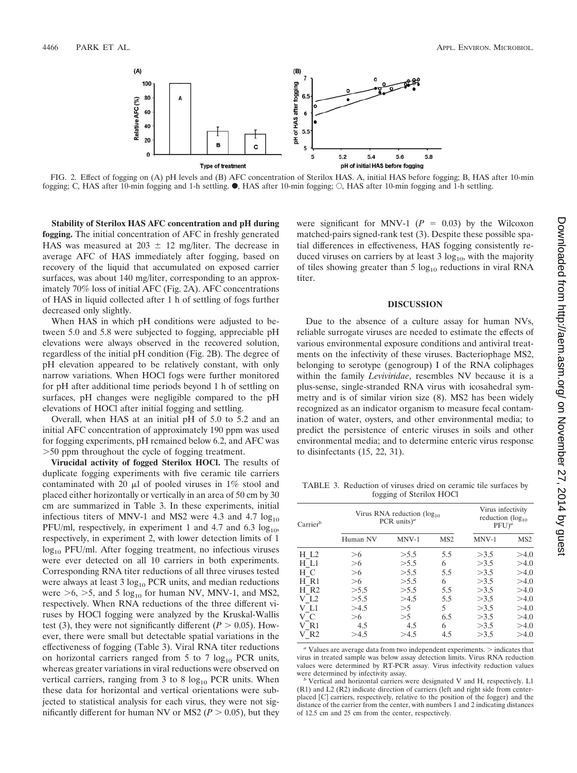

FIG. 2. Effect of fogging on (A) pH levels and (B) AFC concentration of Sterilox HAS. A, initial HAS before fogging; B, HAS after 10-min fogging; C, HAS after 10-min fogging and 1-h settling.  $\bullet$ , HAS after 10-min fogging;  $\circ$ , HAS after 10-min fogging and 1-h settling.

**Stability of Sterilox HAS AFC concentration and pH during fogging.** The initial concentration of AFC in freshly generated HAS was measured at  $203 \pm 12$  mg/liter. The decrease in average AFC of HAS immediately after fogging, based on recovery of the liquid that accumulated on exposed carrier surfaces, was about 140 mg/liter, corresponding to an approximately 70% loss of initial AFC (Fig. 2A). AFC concentrations of HAS in liquid collected after 1 h of settling of fogs further decreased only slightly.

When HAS in which pH conditions were adjusted to between 5.0 and 5.8 were subjected to fogging, appreciable pH elevations were always observed in the recovered solution, regardless of the initial pH condition (Fig. 2B). The degree of pH elevation appeared to be relatively constant, with only narrow variations. When HOCl fogs were further monitored for pH after additional time periods beyond 1 h of settling on surfaces, pH changes were negligible compared to the pH elevations of HOCl after initial fogging and settling.

Overall, when HAS at an initial pH of 5.0 to 5.2 and an initial AFC concentration of approximately 190 ppm was used for fogging experiments, pH remained below 6.2, and AFC was 50 ppm throughout the cycle of fogging treatment.

**Virucidal activity of fogged Sterilox HOCl.** The results of duplicate fogging experiments with five ceramic tile carriers contaminated with 20  $\mu$ l of pooled viruses in 1% stool and placed either horizontally or vertically in an area of 50 cm by 30 cm are summarized in Table 3. In these experiments, initial infectious titers of MNV-1 and MS2 were 4.3 and 4.7  $log_{10}$ PFU/ml, respectively, in experiment 1 and 4.7 and 6.3  $log_{10}$ , respectively, in experiment 2, with lower detection limits of 1  $log_{10}$  PFU/ml. After fogging treatment, no infectious viruses were ever detected on all 10 carriers in both experiments. Corresponding RNA titer reductions of all three viruses tested were always at least  $3 \log_{10}$  PCR units, and median reductions were  $>6$ ,  $>5$ , and 5 log<sub>10</sub> for human NV, MNV-1, and MS2, respectively. When RNA reductions of the three different viruses by HOCl fogging were analyzed by the Kruskal-Wallis test (3), they were not significantly different ( $P > 0.05$ ). However, there were small but detectable spatial variations in the effectiveness of fogging (Table 3). Viral RNA titer reductions on horizontal carriers ranged from 5 to 7  $log_{10}$  PCR units, whereas greater variations in viral reductions were observed on vertical carriers, ranging from 3 to 8  $log<sub>10</sub>$  PCR units. When these data for horizontal and vertical orientations were subjected to statistical analysis for each virus, they were not significantly different for human NV or MS2 ( $P > 0.05$ ), but they

were significant for MNV-1  $(P = 0.03)$  by the Wilcoxon matched-pairs signed-rank test (3). Despite these possible spatial differences in effectiveness, HAS fogging consistently reduced viruses on carriers by at least  $3 \log_{10}$ , with the majority of tiles showing greater than 5  $log_{10}$  reductions in viral RNA titer.

# **DISCUSSION**

Due to the absence of a culture assay for human NVs, reliable surrogate viruses are needed to estimate the effects of various environmental exposure conditions and antiviral treatments on the infectivity of these viruses. Bacteriophage MS2, belonging to serotype (genogroup) I of the RNA coliphages within the family *Leviviridae*, resembles NV because it is a plus-sense, single-stranded RNA virus with icosahedral symmetry and is of similar virion size (8). MS2 has been widely recognized as an indicator organism to measure fecal contamination of water, oysters, and other environmental media; to predict the persistence of enteric viruses in soils and other environmental media; and to determine enteric virus response to disinfectants (15, 22, 31).

TABLE 3. Reduction of viruses dried on ceramic tile surfaces by fogging of Sterilox HOCl

| $Carrier^b$        | Virus RNA reduction $(\log_{10}$<br>PCR units) <sup>a</sup> |         |                 | Virus infectivity<br>reduction $(\log_{10}$<br>$PFU)^a$ |                 |
|--------------------|-------------------------------------------------------------|---------|-----------------|---------------------------------------------------------|-----------------|
|                    | Human NV                                                    | $MNV-1$ | MS <sub>2</sub> | $MNV-1$                                                 | MS <sub>2</sub> |
| H L2               | >6                                                          | > 5.5   | 5.5             | >3.5                                                    | >4.0            |
| H L1               | >6                                                          | > 5.5   | 6               | >3.5                                                    | >4.0            |
| H C                | >6                                                          | > 5.5   | 5.5             | >3.5                                                    | >4.0            |
| H R1               | >6                                                          | >5.5    | 6               | >3.5                                                    | >4.0            |
| $H$ R <sub>2</sub> | >5.5                                                        | >5.5    | 5.5             | >3.5                                                    | >4.0            |
| VL <sub>2</sub>    | > 5.5                                                       | >4.5    | 5.5             | >3.5                                                    | >4.0            |
| V L1               | >4.5                                                        | >5      | 5               | >3.5                                                    | >4.0            |
| V C                | >6                                                          | >5      | 6.5             | >3.5                                                    | >4.0            |
| V R1               | 4.5                                                         | 4.5     | 6               | >3.5                                                    | >4.0            |
| $V_R2$             | >4.5                                                        | >4.5    | 4.5             | >3.5                                                    | >4.0            |

<sup>a</sup> Values are average data from two independent experiments. > indicates that virus in treated sample was below assay detection limits. Virus RNA reduction values were determined by RT-PCR assay. Virus infectivity reduction values were determined by infectivity assay.<br>*b* Vertical and horizontal carriers were designated V and H, respectively. L1

(R1) and L2 (R2) indicate direction of carriers (left and right side from centerplaced [C] carriers, respectively, relative to the position of the fogger) and the distance of the carrier from the center, with numbers 1 and 2 indicating distances of 12.5 cm and 25 cm from the center, respectively.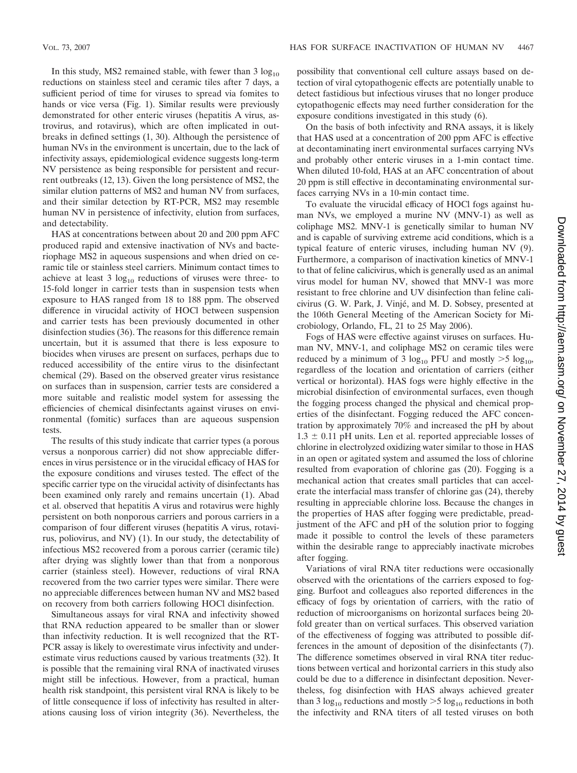In this study, MS2 remained stable, with fewer than  $3 \log_{10}$ reductions on stainless steel and ceramic tiles after 7 days, a sufficient period of time for viruses to spread via fomites to hands or vice versa (Fig. 1). Similar results were previously demonstrated for other enteric viruses (hepatitis A virus, astrovirus, and rotavirus), which are often implicated in outbreaks in defined settings (1, 30). Although the persistence of human NVs in the environment is uncertain, due to the lack of infectivity assays, epidemiological evidence suggests long-term NV persistence as being responsible for persistent and recurrent outbreaks (12, 13). Given the long persistence of MS2, the similar elution patterns of MS2 and human NV from surfaces, and their similar detection by RT-PCR, MS2 may resemble human NV in persistence of infectivity, elution from surfaces, and detectability.

HAS at concentrations between about 20 and 200 ppm AFC produced rapid and extensive inactivation of NVs and bacteriophage MS2 in aqueous suspensions and when dried on ceramic tile or stainless steel carriers. Minimum contact times to achieve at least  $3 \log_{10}$  reductions of viruses were three- to 15-fold longer in carrier tests than in suspension tests when exposure to HAS ranged from 18 to 188 ppm. The observed difference in virucidal activity of HOCl between suspension and carrier tests has been previously documented in other disinfection studies (36). The reasons for this difference remain uncertain, but it is assumed that there is less exposure to biocides when viruses are present on surfaces, perhaps due to reduced accessibility of the entire virus to the disinfectant chemical (29). Based on the observed greater virus resistance on surfaces than in suspension, carrier tests are considered a more suitable and realistic model system for assessing the efficiencies of chemical disinfectants against viruses on environmental (fomitic) surfaces than are aqueous suspension tests.

The results of this study indicate that carrier types (a porous versus a nonporous carrier) did not show appreciable differences in virus persistence or in the virucidal efficacy of HAS for the exposure conditions and viruses tested. The effect of the specific carrier type on the virucidal activity of disinfectants has been examined only rarely and remains uncertain (1). Abad et al. observed that hepatitis A virus and rotavirus were highly persistent on both nonporous carriers and porous carriers in a comparison of four different viruses (hepatitis A virus, rotavirus, poliovirus, and NV) (1). In our study, the detectability of infectious MS2 recovered from a porous carrier (ceramic tile) after drying was slightly lower than that from a nonporous carrier (stainless steel). However, reductions of viral RNA recovered from the two carrier types were similar. There were no appreciable differences between human NV and MS2 based on recovery from both carriers following HOCl disinfection.

Simultaneous assays for viral RNA and infectivity showed that RNA reduction appeared to be smaller than or slower than infectivity reduction. It is well recognized that the RT-PCR assay is likely to overestimate virus infectivity and underestimate virus reductions caused by various treatments (32). It is possible that the remaining viral RNA of inactivated viruses might still be infectious. However, from a practical, human health risk standpoint, this persistent viral RNA is likely to be of little consequence if loss of infectivity has resulted in alterations causing loss of virion integrity (36). Nevertheless, the

possibility that conventional cell culture assays based on detection of viral cytopathogenic effects are potentially unable to detect fastidious but infectious viruses that no longer produce cytopathogenic effects may need further consideration for the exposure conditions investigated in this study (6).

On the basis of both infectivity and RNA assays, it is likely that HAS used at a concentration of 200 ppm AFC is effective at decontaminating inert environmental surfaces carrying NVs and probably other enteric viruses in a 1-min contact time. When diluted 10-fold, HAS at an AFC concentration of about 20 ppm is still effective in decontaminating environmental surfaces carrying NVs in a 10-min contact time.

To evaluate the virucidal efficacy of HOCl fogs against human NVs, we employed a murine NV (MNV-1) as well as coliphage MS2. MNV-1 is genetically similar to human NV and is capable of surviving extreme acid conditions, which is a typical feature of enteric viruses, including human NV (9). Furthermore, a comparison of inactivation kinetics of MNV-1 to that of feline calicivirus, which is generally used as an animal virus model for human NV, showed that MNV-1 was more resistant to free chlorine and UV disinfection than feline calicivirus (G. W. Park, J. Vinje´, and M. D. Sobsey, presented at the 106th General Meeting of the American Society for Microbiology, Orlando, FL, 21 to 25 May 2006).

Fogs of HAS were effective against viruses on surfaces. Human NV, MNV-1, and coliphage MS2 on ceramic tiles were reduced by a minimum of 3  $log_{10}$  PFU and mostly  $>5 log_{10}$ , regardless of the location and orientation of carriers (either vertical or horizontal). HAS fogs were highly effective in the microbial disinfection of environmental surfaces, even though the fogging process changed the physical and chemical properties of the disinfectant. Fogging reduced the AFC concentration by approximately 70% and increased the pH by about  $1.3 \pm 0.11$  pH units. Len et al. reported appreciable losses of chlorine in electrolyzed oxidizing water similar to those in HAS in an open or agitated system and assumed the loss of chlorine resulted from evaporation of chlorine gas (20). Fogging is a mechanical action that creates small particles that can accelerate the interfacial mass transfer of chlorine gas (24), thereby resulting in appreciable chlorine loss. Because the changes in the properties of HAS after fogging were predictable, preadjustment of the AFC and pH of the solution prior to fogging made it possible to control the levels of these parameters within the desirable range to appreciably inactivate microbes after fogging.

Variations of viral RNA titer reductions were occasionally observed with the orientations of the carriers exposed to fogging. Burfoot and colleagues also reported differences in the efficacy of fogs by orientation of carriers, with the ratio of reduction of microorganisms on horizontal surfaces being 20 fold greater than on vertical surfaces. This observed variation of the effectiveness of fogging was attributed to possible differences in the amount of deposition of the disinfectants (7). The difference sometimes observed in viral RNA titer reductions between vertical and horizontal carriers in this study also could be due to a difference in disinfectant deposition. Nevertheless, fog disinfection with HAS always achieved greater than 3  $log_{10}$  reductions and mostly  $>$  5  $log_{10}$  reductions in both the infectivity and RNA titers of all tested viruses on both